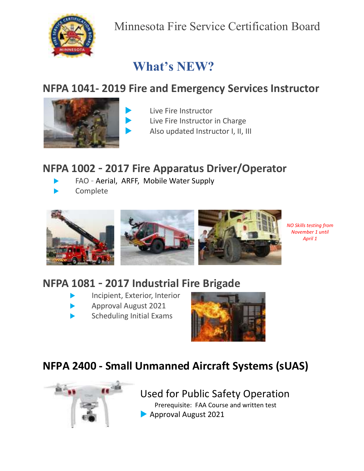

# **What's NEW?**

# **NFPA 1041- 2019 Fire and Emergency Services Instructor**



- Live Fire Instructor
- Live Fire Instructor in Charge
- Also updated Instructor I, II, III

## **NFPA 1002 – 2017 Fire Apparatus Driver/Operator**

FAO – Aerial, ARFF, Mobile Water Supply

Complete



*NO Skills testing from November 1 until April 1*

# **NFPA 1081 – 2017 Industrial Fire Brigade**

- Incipient, Exterior, Interior
- Approval August 2021
- Scheduling Initial Exams



# **NFPA 2400 - Small Unmanned Aircraft Systems (sUAS)**



## Used for Public Safety Operation

 Prerequisite: FAA Course and written test Approval August 2021